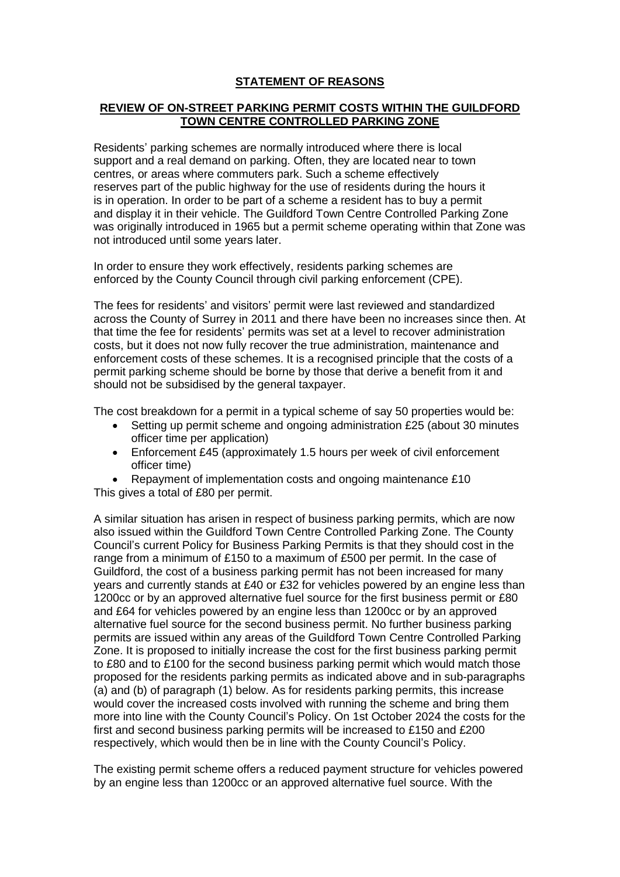## **STATEMENT OF REASONS**

## **REVIEW OF ON-STREET PARKING PERMIT COSTS WITHIN THE GUILDFORD TOWN CENTRE CONTROLLED PARKING ZONE**

Residents' parking schemes are normally introduced where there is local support and a real demand on parking. Often, they are located near to town centres, or areas where commuters park. Such a scheme effectively reserves part of the public highway for the use of residents during the hours it is in operation. In order to be part of a scheme a resident has to buy a permit and display it in their vehicle. The Guildford Town Centre Controlled Parking Zone was originally introduced in 1965 but a permit scheme operating within that Zone was not introduced until some years later.

In order to ensure they work effectively, residents parking schemes are enforced by the County Council through civil parking enforcement (CPE).

The fees for residents' and visitors' permit were last reviewed and standardized across the County of Surrey in 2011 and there have been no increases since then. At that time the fee for residents' permits was set at a level to recover administration costs, but it does not now fully recover the true administration, maintenance and enforcement costs of these schemes. It is a recognised principle that the costs of a permit parking scheme should be borne by those that derive a benefit from it and should not be subsidised by the general taxpayer.

The cost breakdown for a permit in a typical scheme of say 50 properties would be:

- Setting up permit scheme and ongoing administration £25 (about 30 minutes officer time per application)
- Enforcement £45 (approximately 1.5 hours per week of civil enforcement officer time)
- Repayment of implementation costs and ongoing maintenance £10 This gives a total of £80 per permit.

A similar situation has arisen in respect of business parking permits, which are now also issued within the Guildford Town Centre Controlled Parking Zone. The County Council's current Policy for Business Parking Permits is that they should cost in the range from a minimum of £150 to a maximum of £500 per permit. In the case of Guildford, the cost of a business parking permit has not been increased for many years and currently stands at £40 or £32 for vehicles powered by an engine less than 1200cc or by an approved alternative fuel source for the first business permit or £80 and £64 for vehicles powered by an engine less than 1200cc or by an approved alternative fuel source for the second business permit. No further business parking permits are issued within any areas of the Guildford Town Centre Controlled Parking Zone. It is proposed to initially increase the cost for the first business parking permit to £80 and to £100 for the second business parking permit which would match those proposed for the residents parking permits as indicated above and in sub-paragraphs (a) and (b) of paragraph (1) below. As for residents parking permits, this increase would cover the increased costs involved with running the scheme and bring them more into line with the County Council's Policy. On 1st October 2024 the costs for the first and second business parking permits will be increased to £150 and £200 respectively, which would then be in line with the County Council's Policy.

The existing permit scheme offers a reduced payment structure for vehicles powered by an engine less than 1200cc or an approved alternative fuel source. With the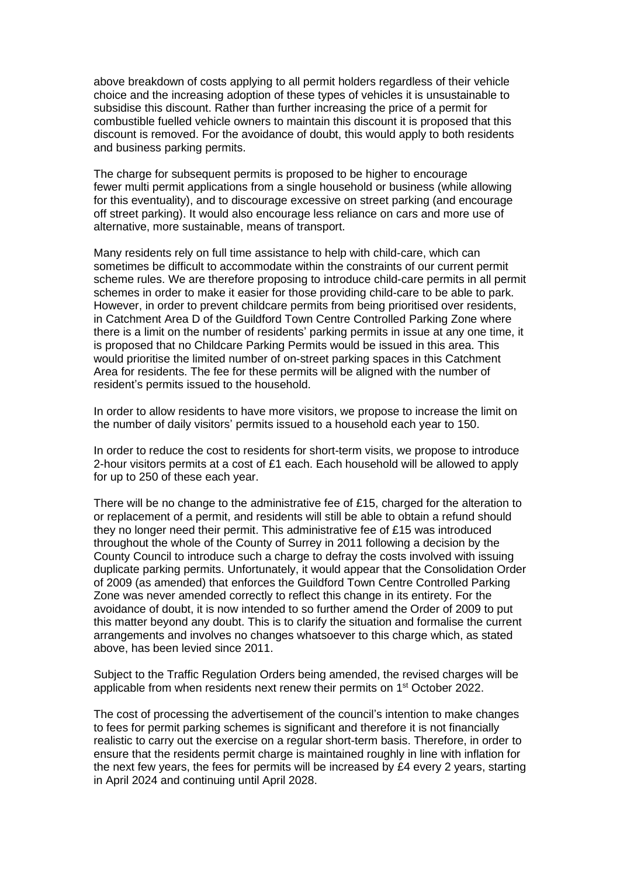above breakdown of costs applying to all permit holders regardless of their vehicle choice and the increasing adoption of these types of vehicles it is unsustainable to subsidise this discount. Rather than further increasing the price of a permit for combustible fuelled vehicle owners to maintain this discount it is proposed that this discount is removed. For the avoidance of doubt, this would apply to both residents and business parking permits.

The charge for subsequent permits is proposed to be higher to encourage fewer multi permit applications from a single household or business (while allowing for this eventuality), and to discourage excessive on street parking (and encourage off street parking). It would also encourage less reliance on cars and more use of alternative, more sustainable, means of transport.

Many residents rely on full time assistance to help with child-care, which can sometimes be difficult to accommodate within the constraints of our current permit scheme rules. We are therefore proposing to introduce child-care permits in all permit schemes in order to make it easier for those providing child-care to be able to park. However, in order to prevent childcare permits from being prioritised over residents, in Catchment Area D of the Guildford Town Centre Controlled Parking Zone where there is a limit on the number of residents' parking permits in issue at any one time, it is proposed that no Childcare Parking Permits would be issued in this area. This would prioritise the limited number of on-street parking spaces in this Catchment Area for residents. The fee for these permits will be aligned with the number of resident's permits issued to the household.

In order to allow residents to have more visitors, we propose to increase the limit on the number of daily visitors' permits issued to a household each year to 150.

In order to reduce the cost to residents for short-term visits, we propose to introduce 2-hour visitors permits at a cost of £1 each. Each household will be allowed to apply for up to 250 of these each year.

There will be no change to the administrative fee of £15, charged for the alteration to or replacement of a permit, and residents will still be able to obtain a refund should they no longer need their permit. This administrative fee of £15 was introduced throughout the whole of the County of Surrey in 2011 following a decision by the County Council to introduce such a charge to defray the costs involved with issuing duplicate parking permits. Unfortunately, it would appear that the Consolidation Order of 2009 (as amended) that enforces the Guildford Town Centre Controlled Parking Zone was never amended correctly to reflect this change in its entirety. For the avoidance of doubt, it is now intended to so further amend the Order of 2009 to put this matter beyond any doubt. This is to clarify the situation and formalise the current arrangements and involves no changes whatsoever to this charge which, as stated above, has been levied since 2011.

Subject to the Traffic Regulation Orders being amended, the revised charges will be applicable from when residents next renew their permits on 1<sup>st</sup> October 2022.

The cost of processing the advertisement of the council's intention to make changes to fees for permit parking schemes is significant and therefore it is not financially realistic to carry out the exercise on a regular short-term basis. Therefore, in order to ensure that the residents permit charge is maintained roughly in line with inflation for the next few years, the fees for permits will be increased by £4 every 2 years, starting in April 2024 and continuing until April 2028.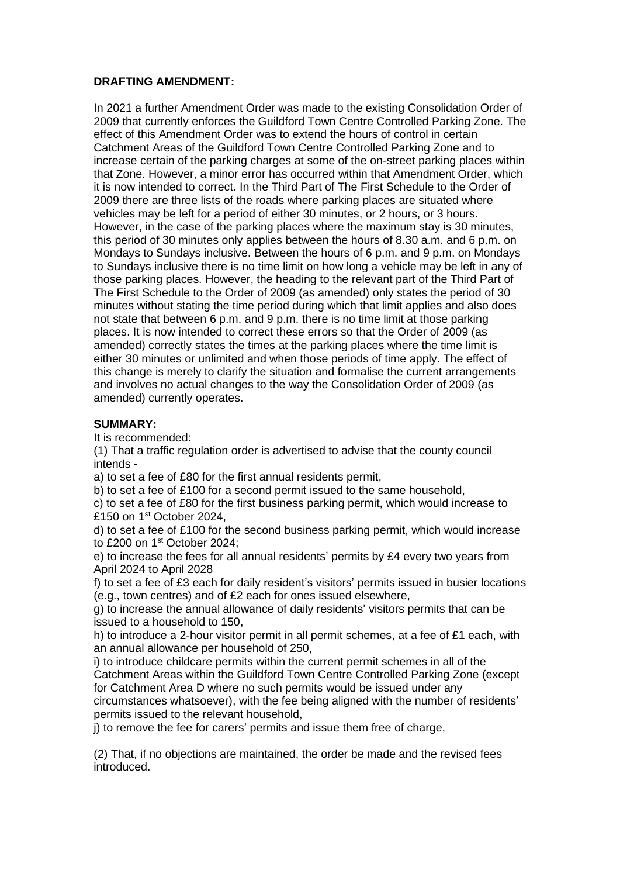## **DRAFTING AMENDMENT:**

In 2021 a further Amendment Order was made to the existing Consolidation Order of 2009 that currently enforces the Guildford Town Centre Controlled Parking Zone. The effect of this Amendment Order was to extend the hours of control in certain Catchment Areas of the Guildford Town Centre Controlled Parking Zone and to increase certain of the parking charges at some of the on-street parking places within that Zone. However, a minor error has occurred within that Amendment Order, which it is now intended to correct. In the Third Part of The First Schedule to the Order of 2009 there are three lists of the roads where parking places are situated where vehicles may be left for a period of either 30 minutes, or 2 hours, or 3 hours. However, in the case of the parking places where the maximum stay is 30 minutes, this period of 30 minutes only applies between the hours of 8.30 a.m. and 6 p.m. on Mondays to Sundays inclusive. Between the hours of 6 p.m. and 9 p.m. on Mondays to Sundays inclusive there is no time limit on how long a vehicle may be left in any of those parking places. However, the heading to the relevant part of the Third Part of The First Schedule to the Order of 2009 (as amended) only states the period of 30 minutes without stating the time period during which that limit applies and also does not state that between 6 p.m. and 9 p.m. there is no time limit at those parking places. It is now intended to correct these errors so that the Order of 2009 (as amended) correctly states the times at the parking places where the time limit is either 30 minutes or unlimited and when those periods of time apply. The effect of this change is merely to clarify the situation and formalise the current arrangements and involves no actual changes to the way the Consolidation Order of 2009 (as amended) currently operates.

## **SUMMARY:**

It is recommended:

(1) That a traffic regulation order is advertised to advise that the county council intends -

a) to set a fee of £80 for the first annual residents permit,

b) to set a fee of £100 for a second permit issued to the same household,

c) to set a fee of £80 for the first business parking permit, which would increase to £150 on 1<sup>st</sup> October 2024,

d) to set a fee of £100 for the second business parking permit, which would increase to £200 on 1<sup>st</sup> October 2024;

e) to increase the fees for all annual residents' permits by £4 every two years from April 2024 to April 2028

f) to set a fee of £3 each for daily resident's visitors' permits issued in busier locations (e.g., town centres) and of £2 each for ones issued elsewhere,

g) to increase the annual allowance of daily residents' visitors permits that can be issued to a household to 150,

h) to introduce a 2-hour visitor permit in all permit schemes, at a fee of £1 each, with an annual allowance per household of 250,

i) to introduce childcare permits within the current permit schemes in all of the Catchment Areas within the Guildford Town Centre Controlled Parking Zone (except for Catchment Area D where no such permits would be issued under any circumstances whatsoever), with the fee being aligned with the number of residents' permits issued to the relevant household,

j) to remove the fee for carers' permits and issue them free of charge,

(2) That, if no objections are maintained, the order be made and the revised fees introduced.